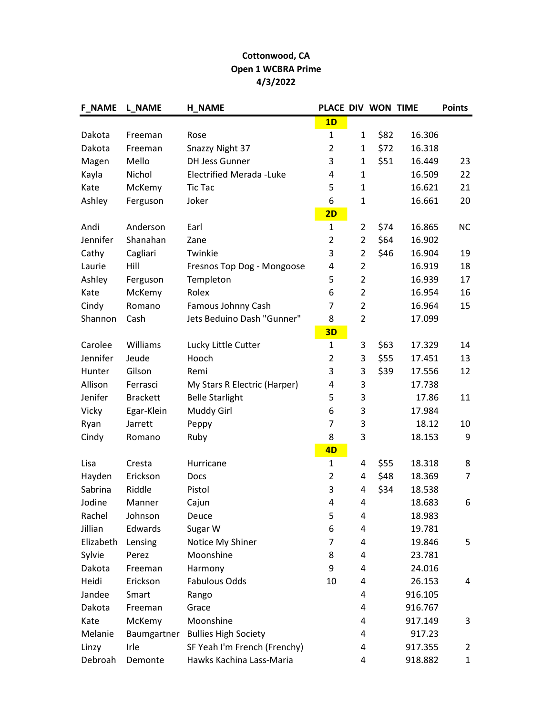## Cottonwood, CA Open 1 WCBRA Prime 4/3/2022

| <b>F_NAME</b> | <b>L_NAME</b>   | <b>H NAME</b>                   | PLACE DIV WON TIME |                |      |         | <b>Points</b>    |
|---------------|-----------------|---------------------------------|--------------------|----------------|------|---------|------------------|
|               |                 |                                 | 1D                 |                |      |         |                  |
| Dakota        | Freeman         | Rose                            | $\mathbf{1}$       | $\mathbf{1}$   | \$82 | 16.306  |                  |
| Dakota        | Freeman         | Snazzy Night 37                 | $\overline{2}$     | $\mathbf{1}$   | \$72 | 16.318  |                  |
| Magen         | Mello           | <b>DH Jess Gunner</b>           | 3                  | $\mathbf{1}$   | \$51 | 16.449  | 23               |
| Kayla         | Nichol          | <b>Electrified Merada -Luke</b> | 4                  | $\mathbf{1}$   |      | 16.509  | 22               |
| Kate          | McKemy          | <b>Tic Tac</b>                  | 5                  | $\mathbf{1}$   |      | 16.621  | 21               |
| Ashley        | Ferguson        | Joker                           | 6                  | $\mathbf 1$    |      | 16.661  | 20               |
|               |                 |                                 | 2D                 |                |      |         |                  |
| Andi          | Anderson        | Earl                            | $\mathbf{1}$       | $\overline{2}$ | \$74 | 16.865  | <b>NC</b>        |
| Jennifer      | Shanahan        | Zane                            | $\overline{2}$     | $\overline{2}$ | \$64 | 16.902  |                  |
| Cathy         | Cagliari        | Twinkie                         | 3                  | $\overline{2}$ | \$46 | 16.904  | 19               |
| Laurie        | Hill            | Fresnos Top Dog - Mongoose      | 4                  | $\overline{2}$ |      | 16.919  | 18               |
| Ashley        | Ferguson        | Templeton                       | 5                  | $\overline{2}$ |      | 16.939  | 17               |
| Kate          | McKemy          | Rolex                           | 6                  | $\overline{2}$ |      | 16.954  | 16               |
| Cindy         | Romano          | Famous Johnny Cash              | 7                  | $\overline{2}$ |      | 16.964  | 15               |
| Shannon       | Cash            | Jets Beduino Dash "Gunner"      | 8                  | $\overline{2}$ |      | 17.099  |                  |
|               |                 |                                 | 3D                 |                |      |         |                  |
| Carolee       | Williams        | Lucky Little Cutter             | $\mathbf{1}$       | 3              | \$63 | 17.329  | 14               |
| Jennifer      | Jeude           | Hooch                           | $\overline{2}$     | 3              | \$55 | 17.451  | 13               |
| Hunter        | Gilson          | Remi                            | 3                  | 3              | \$39 | 17.556  | 12               |
| Allison       | Ferrasci        | My Stars R Electric (Harper)    | 4                  | 3              |      | 17.738  |                  |
| Jenifer       | <b>Brackett</b> | <b>Belle Starlight</b>          | 5                  | 3              |      | 17.86   | 11               |
| Vicky         | Egar-Klein      | Muddy Girl                      | 6                  | 3              |      | 17.984  |                  |
| Ryan          | Jarrett         | Peppy                           | 7                  | 3              |      | 18.12   | 10               |
| Cindy         | Romano          | Ruby                            | 8                  | 3              |      | 18.153  | $\boldsymbol{9}$ |
|               |                 |                                 | 4D                 |                |      |         |                  |
| Lisa          | Cresta          | Hurricane                       | $\mathbf{1}$       | 4              | \$55 | 18.318  | 8                |
| Hayden        | Erickson        | Docs                            | $\overline{2}$     | 4              | \$48 | 18.369  | $\overline{7}$   |
| Sabrina       | Riddle          | Pistol                          | 3                  | 4              | \$34 | 18.538  |                  |
| Jodine        | Manner          | Cajun                           | 4                  | 4              |      | 18.683  | 6                |
| Rachel        | Johnson         | Deuce                           | 5                  | 4              |      | 18.983  |                  |
| Jillian       | Edwards         | Sugar W                         | 6                  | 4              |      | 19.781  |                  |
| Elizabeth     | Lensing         | Notice My Shiner                | 7                  | 4              |      | 19.846  | 5                |
| Sylvie        | Perez           | Moonshine                       | 8                  | 4              |      | 23.781  |                  |
| Dakota        | Freeman         | Harmony                         | 9                  | 4              |      | 24.016  |                  |
| Heidi         | Erickson        | Fabulous Odds                   | 10                 | 4              |      | 26.153  | 4                |
| Jandee        | Smart           | Rango                           |                    | 4              |      | 916.105 |                  |
| Dakota        | Freeman         | Grace                           |                    | 4              |      | 916.767 |                  |
| Kate          | McKemy          | Moonshine                       |                    | 4              |      | 917.149 | 3                |
| Melanie       | Baumgartner     | <b>Bullies High Society</b>     |                    | 4              |      | 917.23  |                  |
| Linzy         | Irle            | SF Yeah I'm French (Frenchy)    |                    | 4              |      | 917.355 | $\overline{2}$   |
| Debroah       | Demonte         | Hawks Kachina Lass-Maria        |                    | 4              |      | 918.882 | $\mathbf{1}$     |